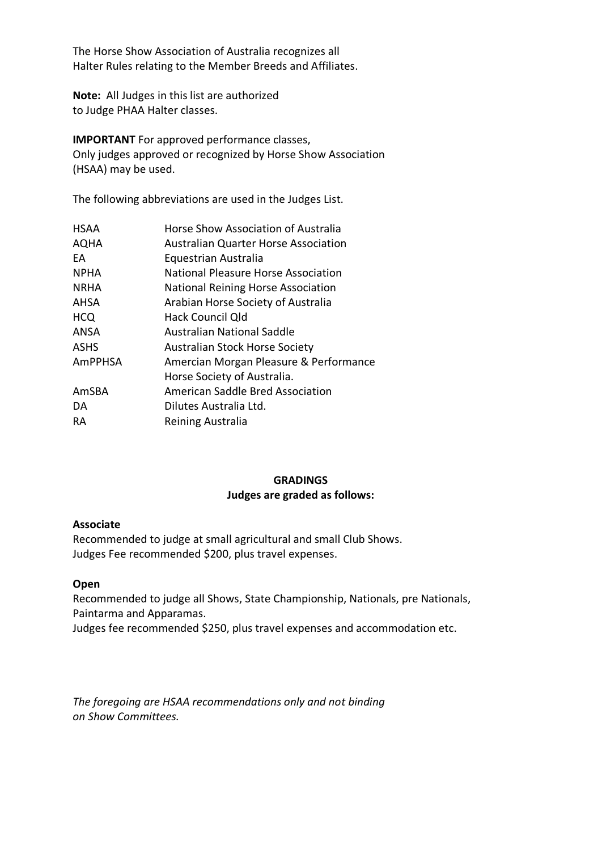The Horse Show Association of Australia recognizes all Halter Rules relating to the Member Breeds and Affiliates.

**Note:** All Judges in this list are authorized to Judge PHAA Halter classes.

**IMPORTANT** For approved performance classes, Only judges approved or recognized by Horse Show Association (HSAA) may be used.

The following abbreviations are used in the Judges List.

| <b>HSAA</b>    | <b>Horse Show Association of Australia</b>  |
|----------------|---------------------------------------------|
| <b>AQHA</b>    | <b>Australian Quarter Horse Association</b> |
| EA             | Equestrian Australia                        |
| <b>NPHA</b>    | National Pleasure Horse Association         |
| <b>NRHA</b>    | National Reining Horse Association          |
| AHSA           | Arabian Horse Society of Australia          |
| <b>HCQ</b>     | Hack Council Qld                            |
| <b>ANSA</b>    | Australian National Saddle                  |
| <b>ASHS</b>    | <b>Australian Stock Horse Society</b>       |
| <b>AmPPHSA</b> | Amercian Morgan Pleasure & Performance      |
|                | Horse Society of Australia.                 |
| AmSBA          | American Saddle Bred Association            |
| DA             | Dilutes Australia Ltd.                      |
| <b>RA</b>      | Reining Australia                           |

## **GRADINGS Judges are graded as follows:**

## **Associate**

Recommended to judge at small agricultural and small Club Shows. Judges Fee recommended \$200, plus travel expenses.

## **Open**

Recommended to judge all Shows, State Championship, Nationals, pre Nationals, Paintarma and Apparamas.

Judges fee recommended \$250, plus travel expenses and accommodation etc.

*The foregoing are HSAA recommendations only and not binding on Show Committees.*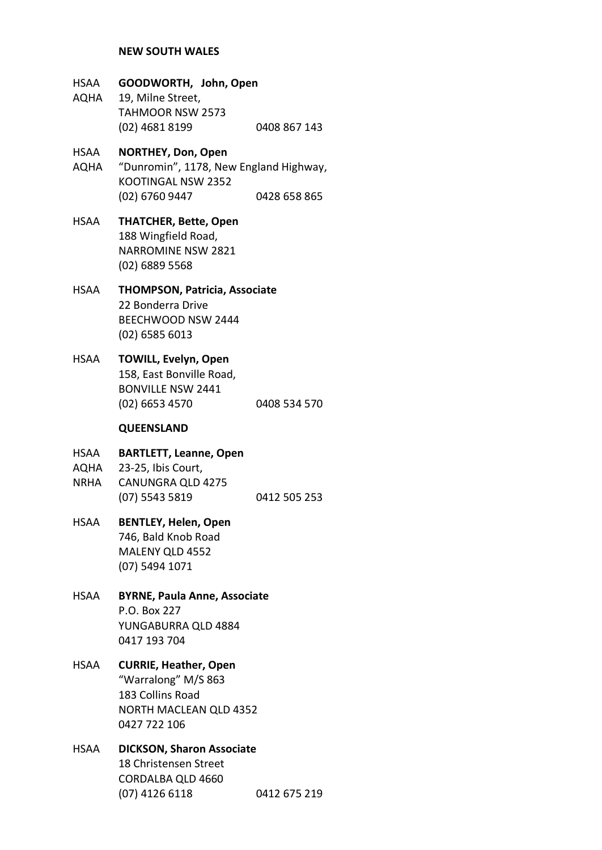#### **NEW SOUTH WALES**

# HSAA **GOODWORTH, John, Open** AQHA 19, Milne Street, TAHMOOR NSW 2573 (02) 4681 8199 0408 867 143 HSAA **NORTHEY, Don, Open** AQHA "Dunromin", 1178, New England Highway, KOOTINGAL NSW 2352 (02) 6760 9447 0428 658 865 HSAA **THATCHER, Bette, Open** 188 Wingfield Road, NARROMINE NSW 2821 (02) 6889 5568 HSAA **THOMPSON, Patricia, Associate** 22 Bonderra Drive BEECHWOOD NSW 2444 (02) 6585 6013 HSAA **TOWILL, Evelyn, Open** 158, East Bonville Road, BONVILLE NSW 2441 (02) 6653 4570 0408 534 570 **QUEENSLAND** HSAA **BARTLETT, Leanne, Open** AQHA 23-25, Ibis Court, NRHA CANUNGRA QLD 4275 (07) 5543 5819 0412 505 253 HSAA **BENTLEY, Helen, Open** 746, Bald Knob Road MALENY QLD 4552 (07) 5494 1071 HSAA **BYRNE, Paula Anne, Associate** P.O. Box 227 YUNGABURRA QLD 4884 0417 193 704 HSAA **CURRIE, Heather, Open** "Warralong" M/S 863 183 Collins Road NORTH MACLEAN QLD 4352 0427 722 106 HSAA **DICKSON, Sharon Associate**

18 Christensen Street CORDALBA QLD 4660 (07) 4126 6118 0412 675 219